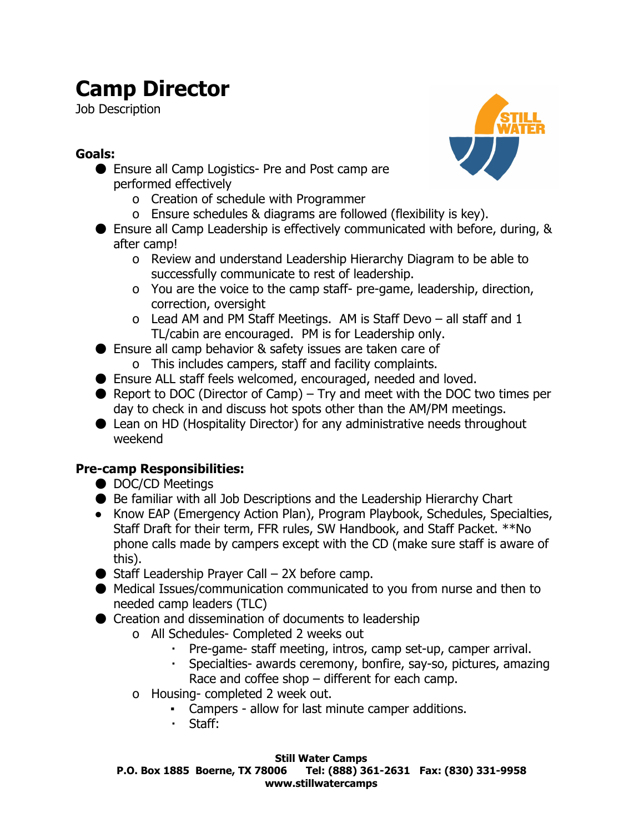# **Camp Director**

Job Description

## **Goals:**

- Ensure all Camp Logistics- Pre and Post camp are performed effectively
	- o Creation of schedule with Programmer
	- o Ensure schedules & diagrams are followed (flexibility is key).
- Ensure all Camp Leadership is effectively communicated with before, during, & after camp!
	- o Review and understand Leadership Hierarchy Diagram to be able to successfully communicate to rest of leadership.
	- o You are the voice to the camp staff- pre-game, leadership, direction, correction, oversight
	- o Lead AM and PM Staff Meetings. AM is Staff Devo all staff and 1 TL/cabin are encouraged. PM is for Leadership only.
- Ensure all camp behavior & safety issues are taken care of o This includes campers, staff and facility complaints.
- Ensure ALL staff feels welcomed, encouraged, needed and loved.
- $\bullet$  Report to DOC (Director of Camp) Try and meet with the DOC two times per day to check in and discuss hot spots other than the AM/PM meetings.
- Lean on HD (Hospitality Director) for any administrative needs throughout weekend

## **Pre-camp Responsibilities:**

- DOC/CD Meetings
- Be familiar with all Job Descriptions and the Leadership Hierarchy Chart
- Know EAP (Emergency Action Plan), Program Playbook, Schedules, Specialties, Staff Draft for their term, FFR rules, SW Handbook, and Staff Packet. \*\*No phone calls made by campers except with the CD (make sure staff is aware of this).
- $\bullet$  Staff Leadership Prayer Call 2X before camp.
- Medical Issues/communication communicated to you from nurse and then to needed camp leaders (TLC)
- Creation and dissemination of documents to leadership
	- o All Schedules- Completed 2 weeks out
		- Pre-game- staff meeting, intros, camp set-up, camper arrival.
		- · Specialties- awards ceremony, bonfire, say-so, pictures, amazing Race and coffee shop – different for each camp.
	- o Housing-completed 2 week out.
		- Campers allow for last minute camper additions.
		- Staff:

#### **Still Water Camps**

**P.O. Box 1885 Boerne, TX 78006 Tel: (888) 3612631 Fax: (830) 3319958 www.stillwatercamps**

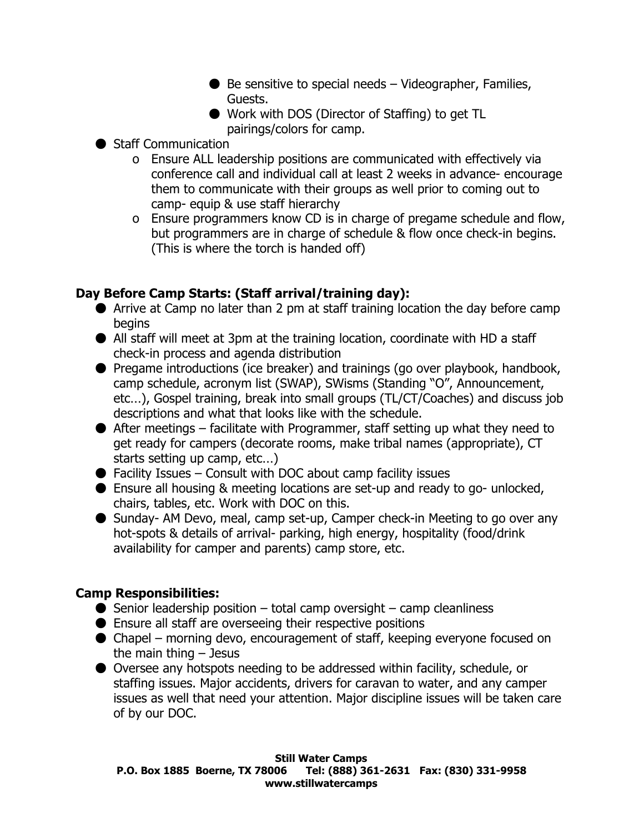- $\bullet$  Be sensitive to special needs  $-$  Videographer, Families, Guests.
- Work with DOS (Director of Staffing) to get TL pairings/colors for camp.
- Staff Communication
	- o Ensure ALL leadership positions are communicated with effectively via conference call and individual call at least 2 weeks in advance- encourage them to communicate with their groups as well prior to coming out to camp- equip & use staff hierarchy
	- o Ensure programmers know CD is in charge of pregame schedule and flow, but programmers are in charge of schedule & flow once check-in begins. (This is where the torch is handed off)

### **Day Before Camp Starts: (Staff arrival/training day):**

- Arrive at Camp no later than 2 pm at staff training location the day before camp begins
- All staff will meet at 3pm at the training location, coordinate with HD a staff check-in process and agenda distribution
- Pregame introductions (ice breaker) and trainings (go over playbook, handbook, camp schedule, acronym list (SWAP), SWisms (Standing "O", Announcement, etc…), Gospel training, break into small groups (TL/CT/Coaches) and discuss job descriptions and what that looks like with the schedule.
- $\bullet$  After meetings facilitate with Programmer, staff setting up what they need to get ready for campers (decorate rooms, make tribal names (appropriate), CT starts setting up camp, etc…)
- $\bullet$  Facility Issues Consult with DOC about camp facility issues
- $\bullet$  Ensure all housing & meeting locations are set-up and ready to go- unlocked, chairs, tables, etc. Work with DOC on this.
- Sunday- AM Devo, meal, camp set-up, Camper check-in Meeting to go over any hot-spots & details of arrival- parking, high energy, hospitality (food/drink availability for camper and parents) camp store, etc.

#### **Camp Responsibilities:**

- $\bullet$  Senior leadership position total camp oversight camp cleanliness
- $\bullet$  Ensure all staff are overseeing their respective positions
- Chapel morning devo, encouragement of staff, keeping everyone focused on the main thing  $-$  Jesus
- Oversee any hotspots needing to be addressed within facility, schedule, or staffing issues. Major accidents, drivers for caravan to water, and any camper issues as well that need your attention. Major discipline issues will be taken care of by our DOC.